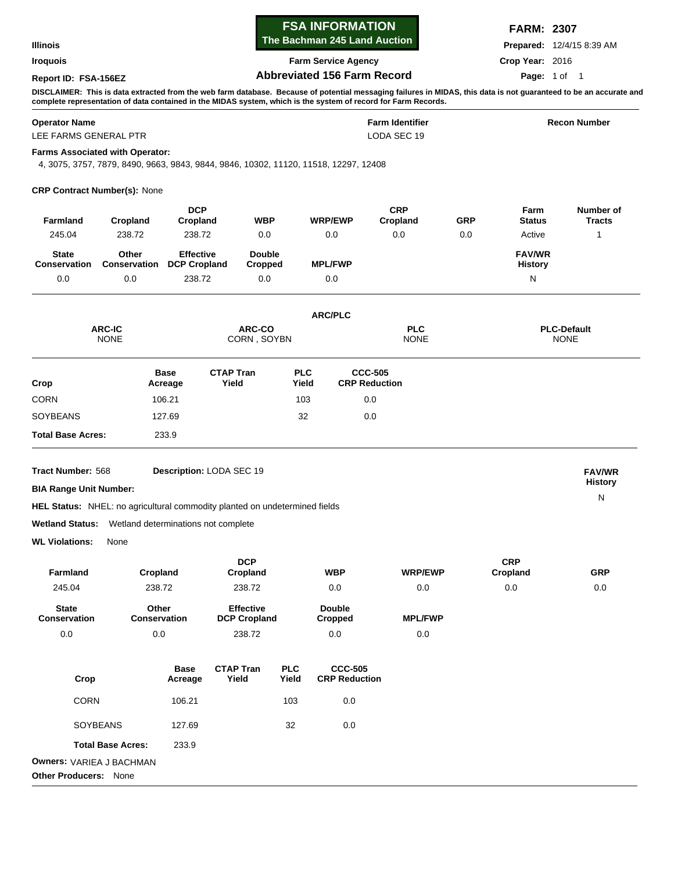| <b>Illinois</b><br><b>Iroquois</b>                         |                                                                                                                                |                                         |                                         | The Bachman 245 Land Auction<br><b>Farm Service Agency</b> |                                        |                                        |                        |                | <b>Prepared:</b> 12/4/15 8:39 AM |                                                                                                                                                                    |  |
|------------------------------------------------------------|--------------------------------------------------------------------------------------------------------------------------------|-----------------------------------------|-----------------------------------------|------------------------------------------------------------|----------------------------------------|----------------------------------------|------------------------|----------------|----------------------------------|--------------------------------------------------------------------------------------------------------------------------------------------------------------------|--|
|                                                            |                                                                                                                                |                                         |                                         |                                                            |                                        |                                        |                        |                | Crop Year: 2016                  |                                                                                                                                                                    |  |
| <b>Abbreviated 156 Farm Record</b><br>Report ID: FSA-156EZ |                                                                                                                                |                                         |                                         |                                                            |                                        |                                        |                        |                | Page: 1 of 1                     |                                                                                                                                                                    |  |
|                                                            | complete representation of data contained in the MIDAS system, which is the system of record for Farm Records.                 |                                         |                                         |                                                            |                                        |                                        |                        |                |                                  | DISCLAIMER: This is data extracted from the web farm database. Because of potential messaging failures in MIDAS, this data is not guaranteed to be an accurate and |  |
| <b>Operator Name</b><br>LEE FARMS GENERAL PTR              |                                                                                                                                |                                         |                                         | <b>Farm Identifier</b><br>LODA SEC 19                      |                                        |                                        |                        |                | <b>Recon Number</b>              |                                                                                                                                                                    |  |
|                                                            | <b>Farms Associated with Operator:</b><br>4, 3075, 3757, 7879, 8490, 9663, 9843, 9844, 9846, 10302, 11120, 11518, 12297, 12408 |                                         |                                         |                                                            |                                        |                                        |                        |                |                                  |                                                                                                                                                                    |  |
|                                                            | <b>CRP Contract Number(s): None</b>                                                                                            |                                         |                                         |                                                            |                                        |                                        |                        |                |                                  |                                                                                                                                                                    |  |
| Farmland                                                   | Cropland                                                                                                                       | <b>DCP</b><br>Cropland                  | <b>WBP</b>                              |                                                            | <b>WRP/EWP</b>                         |                                        | <b>CRP</b><br>Cropland | GRP            | Farm<br><b>Status</b>            | Number of<br><b>Tracts</b>                                                                                                                                         |  |
| 245.04                                                     | 238.72                                                                                                                         | 238.72                                  | 0.0                                     |                                                            | 0.0                                    |                                        | 0.0                    | 0.0            | Active                           | 1                                                                                                                                                                  |  |
| <b>State</b><br><b>Conservation</b>                        | Other<br>Conservation                                                                                                          | <b>Effective</b><br><b>DCP Cropland</b> | <b>Double</b><br>Cropped                |                                                            | <b>MPL/FWP</b>                         |                                        |                        |                | <b>FAV/WR</b><br><b>History</b>  |                                                                                                                                                                    |  |
| 0.0                                                        | 0.0                                                                                                                            | 238.72                                  | 0.0                                     |                                                            | 0.0                                    |                                        |                        |                | ${\sf N}$                        |                                                                                                                                                                    |  |
|                                                            |                                                                                                                                |                                         |                                         |                                                            | <b>ARC/PLC</b>                         |                                        |                        |                |                                  |                                                                                                                                                                    |  |
| <b>ARC-IC</b><br><b>NONE</b>                               |                                                                                                                                |                                         | ARC-CO<br>CORN, SOYBN                   |                                                            |                                        |                                        |                        |                |                                  | <b>PLC-Default</b><br><b>NONE</b>                                                                                                                                  |  |
| Crop                                                       |                                                                                                                                | <b>Base</b><br>Acreage                  | <b>CTAP Tran</b><br>Yield               | <b>PLC</b><br>Yield                                        |                                        | <b>CCC-505</b><br><b>CRP Reduction</b> |                        |                |                                  |                                                                                                                                                                    |  |
| CORN                                                       | 106.21                                                                                                                         |                                         |                                         | 103                                                        |                                        | 0.0                                    |                        |                |                                  |                                                                                                                                                                    |  |
| SOYBEANS                                                   | 127.69                                                                                                                         |                                         |                                         | 32                                                         |                                        | 0.0                                    |                        |                |                                  |                                                                                                                                                                    |  |
| <b>Total Base Acres:</b><br>233.9                          |                                                                                                                                |                                         |                                         |                                                            |                                        |                                        |                        |                |                                  |                                                                                                                                                                    |  |
| Tract Number: 568                                          |                                                                                                                                |                                         | Description: LODA SEC 19                |                                                            |                                        |                                        |                        |                |                                  | <b>FAV/WR</b>                                                                                                                                                      |  |
| <b>BIA Range Unit Number:</b>                              |                                                                                                                                |                                         |                                         |                                                            |                                        |                                        |                        | <b>History</b> |                                  |                                                                                                                                                                    |  |
|                                                            | <b>HEL Status:</b> NHEL: no agricultural commodity planted on undetermined fields                                              |                                         |                                         |                                                            |                                        |                                        |                        |                |                                  | $\mathsf{N}$                                                                                                                                                       |  |
|                                                            | <b>Wetland Status:</b> Wetland determinations not complete                                                                     |                                         |                                         |                                                            |                                        |                                        |                        |                |                                  |                                                                                                                                                                    |  |
| <b>WL Violations:</b>                                      | None                                                                                                                           |                                         |                                         |                                                            |                                        |                                        |                        |                |                                  |                                                                                                                                                                    |  |
| Farmland                                                   | Cropland                                                                                                                       |                                         | <b>DCP</b><br>Cropland                  |                                                            | <b>WBP</b>                             |                                        | <b>WRP/EWP</b>         |                | <b>CRP</b><br>Cropland           | <b>GRP</b>                                                                                                                                                         |  |
| 245.04                                                     | 238.72                                                                                                                         |                                         | 238.72                                  |                                                            | 0.0                                    |                                        | 0.0                    |                | 0.0                              | 0.0                                                                                                                                                                |  |
| <b>State</b><br>Conservation                               | Other<br>Conservation                                                                                                          |                                         | <b>Effective</b><br><b>DCP Cropland</b> |                                                            | <b>Double</b><br><b>Cropped</b>        |                                        | <b>MPL/FWP</b>         |                |                                  |                                                                                                                                                                    |  |
| $0.0\,$                                                    | $0.0\,$                                                                                                                        |                                         | 238.72                                  |                                                            | 0.0                                    |                                        | $0.0\,$                |                |                                  |                                                                                                                                                                    |  |
|                                                            |                                                                                                                                |                                         |                                         |                                                            |                                        |                                        |                        |                |                                  |                                                                                                                                                                    |  |
| Crop                                                       |                                                                                                                                | <b>Base</b><br>Acreage                  | <b>CTAP Tran</b><br>Yield               | <b>PLC</b><br>Yield                                        | <b>CCC-505</b><br><b>CRP Reduction</b> |                                        |                        |                |                                  |                                                                                                                                                                    |  |
| <b>CORN</b>                                                |                                                                                                                                | 106.21                                  |                                         | 103                                                        | 0.0                                    |                                        |                        |                |                                  |                                                                                                                                                                    |  |
|                                                            | SOYBEANS                                                                                                                       | 127.69                                  |                                         | 32                                                         | 0.0                                    |                                        |                        |                |                                  |                                                                                                                                                                    |  |
|                                                            | <b>Total Base Acres:</b>                                                                                                       | 233.9                                   |                                         |                                                            |                                        |                                        |                        |                |                                  |                                                                                                                                                                    |  |
| <b>Owners: VARIEA J BACHMAN</b>                            |                                                                                                                                |                                         |                                         |                                                            |                                        |                                        |                        |                |                                  |                                                                                                                                                                    |  |
| <b>Other Producers: None</b>                               |                                                                                                                                |                                         |                                         |                                                            |                                        |                                        |                        |                |                                  |                                                                                                                                                                    |  |

**FSA INFORMATION** 

**FARM: 2307**